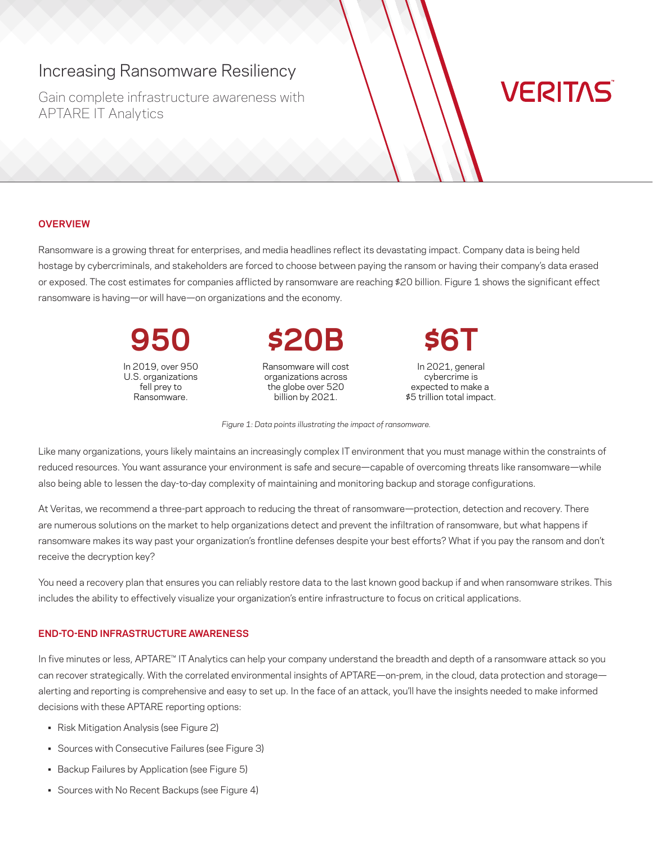# Increasing Ransomware Resiliency

Gain complete infrastructure awareness with APTARE IT Analytics

# **VERITAS**

#### **OVERVIEW**

Ransomware is a growing threat for enterprises, and media headlines reflect its devastating impact. Company data is being held hostage by cybercriminals, and stakeholders are forced to choose between paying the ransom or having their company's data erased or exposed. The cost estimates for companies afflicted by ransomware are reaching \$20 billion. Figure 1 shows the significant effect ransomware is having—or will have—on organizations and the economy.

> **950** In 2019, over 950 U.S. organizations fell prey to Ransomware.

**\$20B**

Ransomware will cost organizations across the globe over 520 billion by 2021.

**\$6T**

In 2021, general cybercrime is expected to make a \$5 trillion total impact.

*Figure 1: Data points illustrating the impact of ransomware.*

Like many organizations, yours likely maintains an increasingly complex IT environment that you must manage within the constraints of reduced resources. You want assurance your environment is safe and secure—capable of overcoming threats like ransomware—while also being able to lessen the day-to-day complexity of maintaining and monitoring backup and storage configurations.

At Veritas, we recommend a three-part approach to reducing the threat of ransomware—protection, detection and recovery. There are numerous solutions on the market to help organizations detect and prevent the infiltration of ransomware, but what happens if ransomware makes its way past your organization's frontline defenses despite your best efforts? What if you pay the ransom and don't receive the decryption key?

You need a recovery plan that ensures you can reliably restore data to the last known good backup if and when ransomware strikes. This includes the ability to effectively visualize your organization's entire infrastructure to focus on critical applications.

## **END-TO-END INFRASTRUCTURE AWARENESS**

In five minutes or less, APTARE™ IT Analytics can help your company understand the breadth and depth of a ransomware attack so you can recover strategically. With the correlated environmental insights of APTARE—on-prem, in the cloud, data protection and storage alerting and reporting is comprehensive and easy to set up. In the face of an attack, you'll have the insights needed to make informed decisions with these APTARE reporting options:

- Risk Mitigation Analysis (see Figure 2)
- Sources with Consecutive Failures (see Figure 3)
- Backup Failures by Application (see Figure 5)
- Sources with No Recent Backups (see Figure 4)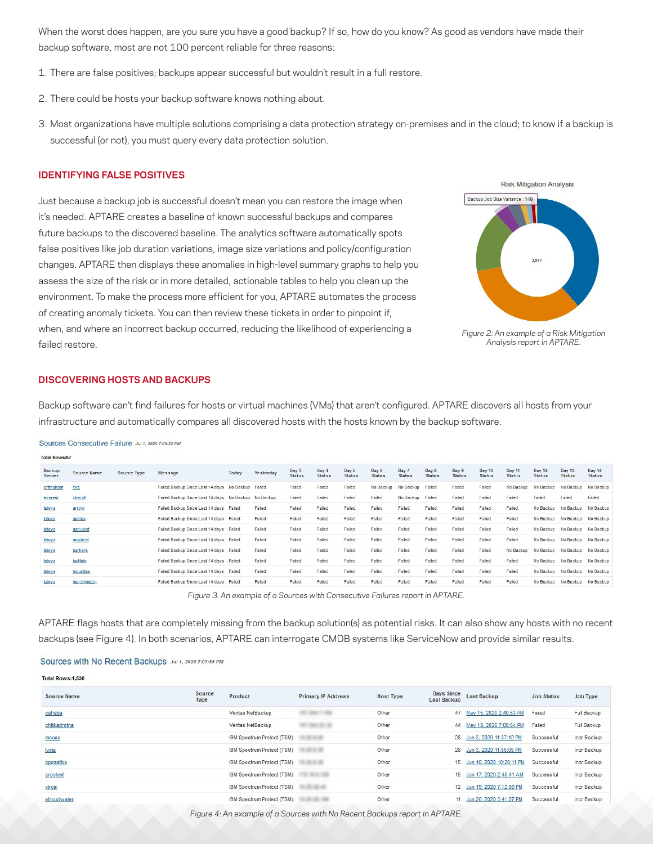When the worst does happen, are you sure you have a good backup? If so, how do you know? As good as vendors have made their backup software, most are not 100 percent reliable for three reasons:

- 1. There are false positives; backups appear successful but wouldn't result in a full restore.
- 2. There could be hosts your backup software knows nothing about.
- 3. Most organizations have multiple solutions comprising a data protection strategy on-premises and in the cloud; to know if a backup is successful (or not), you must query every data protection solution.

### **IDENTIFYING FALSE POSITIVES**

Just because a backup job is successful doesn't mean you can restore the image when it's needed. APTARE creates a baseline of known successful backups and compares future backups to the discovered baseline. The analytics software automatically spots false positives like job duration variations, image size variations and policy/configuration changes. APTARE then displays these anomalies in high-level summary graphs to help you assess the size of the risk or in more detailed, actionable tables to help you clean up the environment. To make the process more efficient for you, APTARE automates the process of creating anomaly tickets. You can then review these tickets in order to pinpoint if, when, and where an incorrect backup occurred, reducing the likelihood of experiencing a failed restore.





#### **DISCOVERING HOSTS AND BACKUPS**

Backup software can't find failures for hosts or virtual machines (VMs) that aren't configured. APTARE discovers all hosts from your infrastructure and automatically compares all discovered hosts with the hosts known by the backup software.

Sources Consecutive Failure Jul 1, 2020 7:06:22 PM

| <b>TOTAL ROWS:57</b>    |                    |                    |                                                      |                  |           |                        |                        |                        |                        |                        |                        |                        |                                |                                |                                |                               |                                |
|-------------------------|--------------------|--------------------|------------------------------------------------------|------------------|-----------|------------------------|------------------------|------------------------|------------------------|------------------------|------------------------|------------------------|--------------------------------|--------------------------------|--------------------------------|-------------------------------|--------------------------------|
| <b>Backup</b><br>Server | <b>Source Name</b> | <b>Source Type</b> | <b>Message</b>                                       | <b>Today</b>     | Yesterday | Day 3<br><b>Status</b> | Day 4<br><b>Status</b> | Day 5<br><b>Status</b> | Day 6<br><b>Status</b> | Day 7<br><b>Status</b> | Day 8<br><b>Status</b> | Day 9<br><b>Status</b> | <b>Day 10</b><br><b>Status</b> | <b>Day 11</b><br><b>Status</b> | <b>Day 12</b><br><b>Status</b> | Day 13<br><b>Status</b>       | <b>Day 14</b><br><b>Status</b> |
| effingham               | five               |                    | Failed Backup Since Last 14 days                     | No Backup Failed |           | Failed                 | Failed                 | Failed                 | No Backup              | No Backup              | Failed                 | Failed                 | Failed                         | No Backup                      | No Backup                      | No Backup                     | No Backup                      |
| everest                 | cheryll            |                    | Failed Backup Since Last 14 days No Backup No Backup |                  |           | Failed                 | Failed                 | Failed                 | Failed                 | No Backup              | Failed                 | Failed                 | Failed                         | Failed                         | Failed                         | Failed                        | Failed                         |
| latova                  | arrow              |                    | Failed Backup Since Last 14 days Failed              |                  | Failed    | Failed                 | Failed                 | Failed                 | Failed                 | Failed                 | Failed                 | Failed                 | Failed                         | Failed                         | No Backup                      | No Backup                     | No Backup                      |
| latova                  | ashley             |                    | Failed Backup Since Last 14 days Failed              |                  | Failed    | Failed                 | Failed                 | Failed                 | Failed                 | Failed                 | Failed                 | Failed                 | Failed                         | Failed                         | No Backup                      | No Backup                     | No Backup                      |
| latova                  | ashuelot           |                    | Failed Backup Since Last 14 days Failed              |                  | Failed    | Failed                 | Failed                 | Failed                 | Failed                 | Failed                 | Failed                 | Failed                 | Failed                         | Failed                         | No Backup                      | No Backup                     | No Backup                      |
| latova                  | auglaize           |                    | Failed Backup Since Last 14 days Failed              |                  | Failed    | Failed                 | Failed                 | Failed                 | Failed                 | Failed                 | Failed                 | Failed                 | Failed                         | Failed                         | No Backup                      | No Backup                     | No Backup                      |
| latova                  | barkers            |                    | Failed Backup Since Last 14 days Failed              |                  | Failed    | Failed                 | Failed                 | Failed                 | Failed                 | Failed                 | Failed                 | Failed                 | Failed                         | No Backup                      | No Backup                      | No Backup No Backup           |                                |
| latova                  | buffalo            |                    | Failed Backup Since Last 14 days Failed              |                  | Failed    | Failed                 | Failed                 | Failed                 | Failed                 | Failed                 | Failed                 | Failed                 | Failed                         | Failed                         |                                | No Backup No Backup No Backup |                                |
| latova                  | laqunitas          |                    | Failed Backup Since Last 14 days Failed              |                  | Failed    | Failed                 | Failed                 | Failed                 | Failed                 | Failed                 | Failed                 | Failed                 | Failed                         | Failed                         |                                | No Backup No Backup No Backup |                                |
| latoya                  | marchington        |                    | Failed Backup Since Last 14 days Failed              |                  | Failed    | Failed                 | Failed                 | Failed                 | Failed                 | Failed                 | Failed                 | Failed                 | Failed                         | Failed                         | No Backup                      | No Backup No Backup           |                                |
|                         |                    |                    |                                                      |                  |           |                        |                        |                        |                        |                        |                        |                        |                                |                                |                                |                               |                                |

*Figure 3: An example of a Sources with Consecutive Failures report in APTARE.*

APTARE flags hosts that are completely missing from the backup solution(s) as potential risks. It can also show any hosts with no recent backups (see Figure 4). In both scenarios, APTARE can interrogate CMDB systems like ServiceNow and provide similar results.

#### Sources with No Recent Backups Jul 1, 2020 7:07:55 PM

| <b>Total Rows:1,530</b> |                       |                            |                           |                  |                                  |                             |                   |                    |
|-------------------------|-----------------------|----------------------------|---------------------------|------------------|----------------------------------|-----------------------------|-------------------|--------------------|
| <b>Source Name</b>      | Source<br><b>Type</b> | Product                    | <b>Primary IP Address</b> | <b>Host Type</b> | Days Since<br><b>Last Backup</b> | <b>Last Backup</b>          | <b>Job Status</b> | Job Type           |
| cahaba                  |                       | Veritas NetBackup          |                           | Other            | 47                               | May 15, 2020 2:40:53 PM     | Failed            | Full Backup        |
| chilikadrotna           |                       | Veritas NetBackup          |                           | Other            | 44                               | May 18, 2020 7:00:54 PM     | Failed            | <b>Full Backup</b> |
| macao                   |                       | IBM Spectrum Protect (TSM) | $-1.1$                    | Other            |                                  | 28 Jun 3, 2020 11:37:42 PM  | Successful        | Incr Backup        |
| lucia                   |                       | IBM Spectrum Protect (TSM) |                           | Other            |                                  | 28 Jun 3, 2020 11:55:05 PM  | Successful        | Incr Backup        |
| opasatika               |                       | IBM Spectrum Protect (TSM) |                           | Other            |                                  | 15 Jun 16, 2020 10:26:11 PM | Successful        | Incr Backup        |
| crooked                 |                       | IBM Spectrum Protect (TSM) | $-100$                    | Other            |                                  | 15 Jun 17, 2020 2:45:41 AM  | Successful        | Incr Backup        |
| virgin                  |                       | IBM Spectrum Protect (TSM) |                           | Other            |                                  | 12 Jun 19, 2020 7:12:06 PM  | Successful        | Incr Backup        |
| stroudwater             |                       | IBM Spectrum Protect (TSM) | ---                       | Other            | $11 -$                           | Jun 20, 2020 3:41:27 PM     | Successful        | Incr Backup        |

*Figure 4: An example of a Sources with No Recent Backups report in APTARE.*